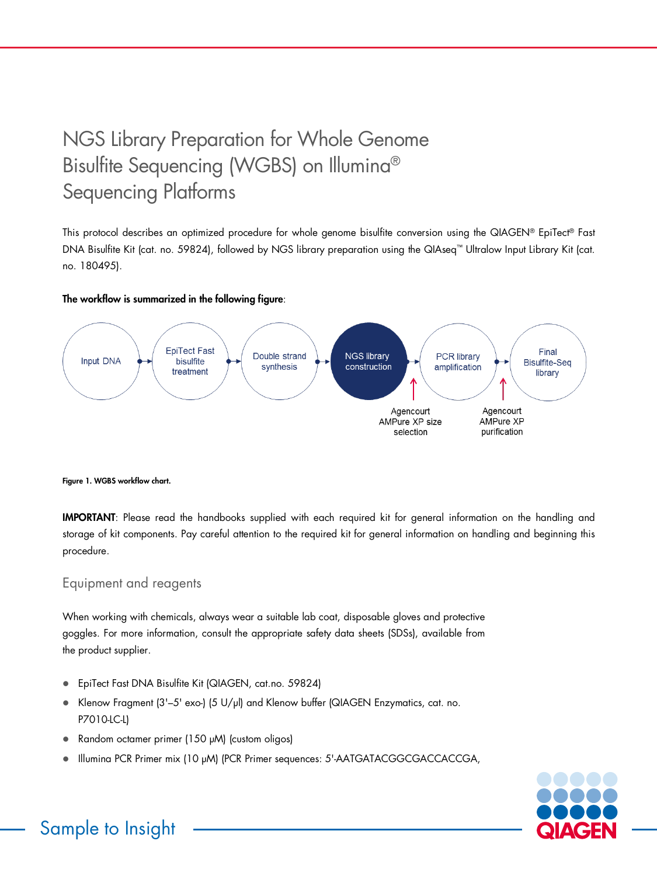# NGS Library Preparation for Whole Genome Bisulfite Sequencing (WGBS) on Illumina® Sequencing Platforms

This protocol describes an optimized procedure for whole genome bisulfite conversion using the QIAGEN® EpiTect® Fast DNA Bisulfite Kit (cat. no. 59824), followed by NGS library preparation using the QIAseq™ Ultralow Input Library Kit (cat. no. 180495).

## The workflow is summarized in the following figure:



## Figure 1. WGBS workflow chart.

IMPORTANT: Please read the handbooks supplied with each required kit for general information on the handling and storage of kit components. Pay careful attention to the required kit for general information on handling and beginning this procedure.

## Equipment and reagents

When working with chemicals, always wear a suitable lab coat, disposable gloves and protective goggles. For more information, consult the appropriate safety data sheets (SDSs), available from the product supplier.

- EpiTect Fast DNA Bisulfite Kit (QIAGEN, cat.no. 59824)
- Klenow Fragment (3'-5' exo-) (5 U/µl) and Klenow buffer (QIAGEN Enzymatics, cat. no. P7010-LC-LI
- Random octamer primer (150 µM) (custom oligos)
- Illuming PCR Primer mix (10 µM) (PCR Primer sequences: 5'-AATGATACGGCGACCACCGA,



## Sample to Insight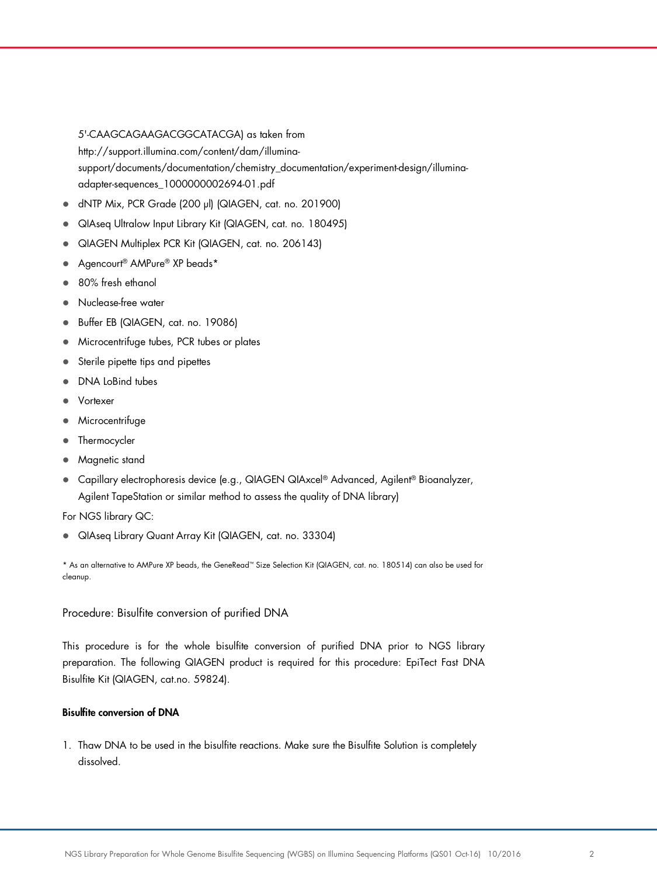5'-CAAGCAGAAGACGGCATACGA) as taken from http://support.illumina.com/content/dam/illuminasupport/documents/documentation/chemistry\_documentation/experiment-design/illuminaadapter-sequences\_1000000002694-01.pdf

- dNTP Mix, PCR Grade (200 µl) (QIAGEN, cat. no. 201900)
- QIAseq Ultralow Input Library Kit (QIAGEN, cat. no. 180495)
- QIAGEN Multiplex PCR Kit (QIAGEN, cat. no. 206143)
- Agencourt<sup>®</sup> AMPure<sup>®</sup> XP beads\*
- 80% fresh ethanol
- Nuclease-free water
- Buffer EB (QIAGEN, cat. no. 19086)
- **Microcentrifuge tubes, PCR tubes or plates**
- Sterile pipette tips and pipettes
- DNA LoBind tubes
- Vortexer
- Microcentrifuge
- Thermocycler
- Magnetic stand
- Capillary electrophoresis device (e.g., QIAGEN QIAxcel® Advanced, Agilent® Bioanalyzer, Agilent TapeStation or similar method to assess the quality of DNA library)

For NGS library QC:

QIAseq Library Quant Array Kit (QIAGEN, cat. no. 33304)

\* As an alternative to AMPure XP beads, the GeneRead™ Size Selection Kit (QIAGEN, cat. no. 180514) can also be used for cleanup.

## Procedure: Bisulfite conversion of purified DNA

This procedure is for the whole bisulfite conversion of purified DNA prior to NGS library preparation. The following QIAGEN product is required for this procedure: EpiTect Fast DNA Bisulfite Kit (QIAGEN, cat.no. 59824).

## Bisulfite conversion of DNA

1. Thaw DNA to be used in the bisulfite reactions. Make sure the Bisulfite Solution is completely dissolved.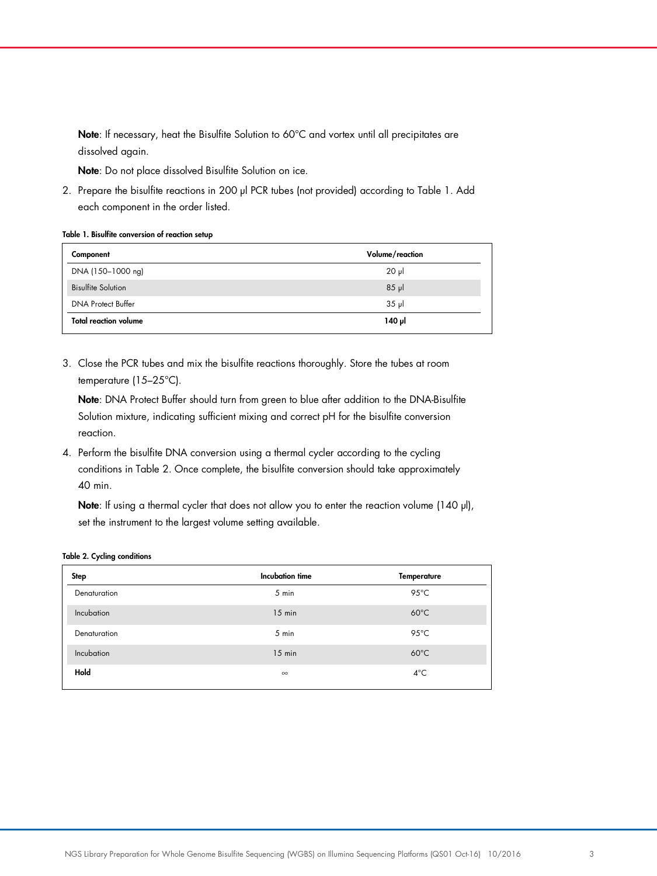Note: If necessary, heat the Bisulfite Solution to 60°C and vortex until all precipitates are dissolved again.

Note: Do not place dissolved Bisulfite Solution on ice.

2. Prepare the bisulfite reactions in 200 µl PCR tubes (not provided) according to Table 1. Add each component in the order listed.

Table 1. Bisulfite conversion of reaction setup

| Component                    | Volume/reaction |
|------------------------------|-----------------|
| DNA (150-1000 ng)            | $20 \mu$        |
| <b>Bisulfite Solution</b>    | $85$ $\mu$      |
| <b>DNA Protect Buffer</b>    | $35$ pl         |
| <b>Total reaction volume</b> | ار 140          |

3. Close the PCR tubes and mix the bisulfite reactions thoroughly. Store the tubes at room temperature (15–25°C).

Note: DNA Protect Buffer should turn from green to blue after addition to the DNA-Bisulfite Solution mixture, indicating sufficient mixing and correct pH for the bisulfite conversion reaction.

4. Perform the bisulfite DNA conversion using a thermal cycler according to the cycling conditions in Table 2. Once complete, the bisulfite conversion should take approximately 40 min.

Note: If using a thermal cycler that does not allow you to enter the reaction volume (140 µl), set the instrument to the largest volume setting available.

#### Table 2. Cycling conditions

| Step         | Incubation time | <b>Temperature</b> |
|--------------|-----------------|--------------------|
| Denaturation | 5 min           | $95^{\circ}$ C     |
| Incubation   | $15$ min        | $60^{\circ}$ C     |
| Denaturation | 5 min           | 95 $\degree$ C     |
| Incubation   | $15$ min        | $60^{\circ}$ C     |
| Hold         | $\infty$        | $4^{\circ}$ C      |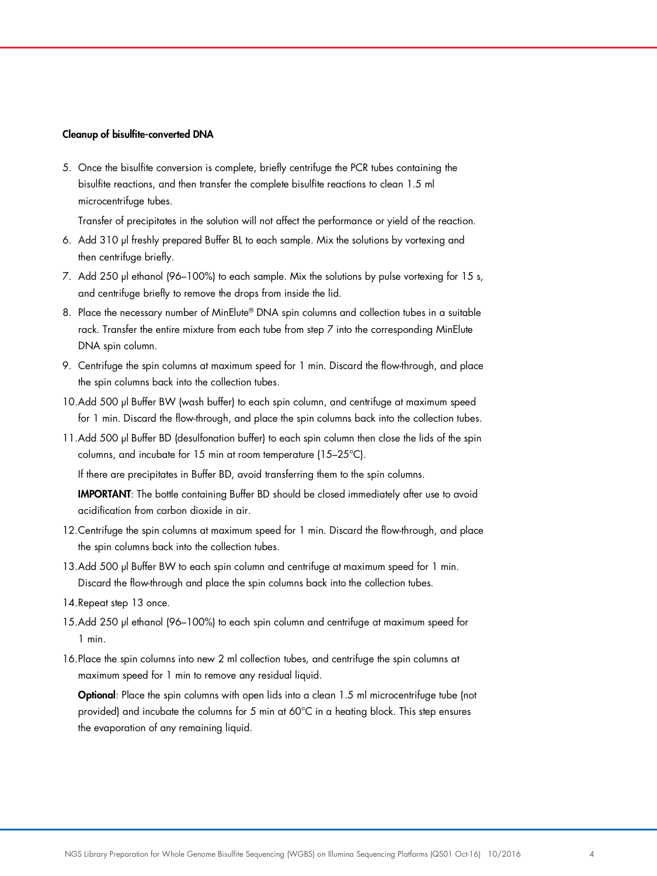#### Cleanup of bisulfite-converted DNA

5. Once the bisulfite conversion is complete, briefly centrifuge the PCR tubes containing the bisulfite reactions, and then transfer the complete bisulfite reactions to clean 1.5 ml microcentrifuge tubes.

Transfer of precipitates in the solution will not affect the performance or yield of the reaction.

- 6. Add 310 µl freshly prepared Buffer BL to each sample. Mix the solutions by vortexing and then centrifuge briefly.
- 7. Add 250 µl ethanol (96–100%) to each sample. Mix the solutions by pulse vortexing for 15 s, and centrifuge briefly to remove the drops from inside the lid.
- 8. Place the necessary number of MinElute® DNA spin columns and collection tubes in a suitable rack. Transfer the entire mixture from each tube from step 7 into the corresponding MinElute DNA spin column.
- 9. Centrifuge the spin columns at maximum speed for 1 min. Discard the flow-through, and place the spin columns back into the collection tubes.
- 10.Add 500 µl Buffer BW (wash buffer) to each spin column, and centrifuge at maximum speed for 1 min. Discard the flow-through, and place the spin columns back into the collection tubes.
- 11.Add 500 µl Buffer BD (desulfonation buffer) to each spin column then close the lids of the spin columns, and incubate for 15 min at room temperature (15–25°C).

If there are precipitates in Buffer BD, avoid transferring them to the spin columns.

**IMPORTANT:** The bottle containing Buffer BD should be closed immediately after use to avoid acidification from carbon dioxide in air.

- 12.Centrifuge the spin columns at maximum speed for 1 min. Discard the flow-through, and place the spin columns back into the collection tubes.
- 13.Add 500 µl Buffer BW to each spin column and centrifuge at maximum speed for 1 min. Discard the flow-through and place the spin columns back into the collection tubes.
- 14.Repeat step 13 once.
- 15.Add 250 µl ethanol (96–100%) to each spin column and centrifuge at maximum speed for 1 min.
- 16.Place the spin columns into new 2 ml collection tubes, and centrifuge the spin columns at maximum speed for 1 min to remove any residual liquid.

**Optional:** Place the spin columns with open lids into a clean 1.5 ml microcentrifuge tube (not provided) and incubate the columns for 5 min at 60°C in a heating block. This step ensures the evaporation of any remaining liquid.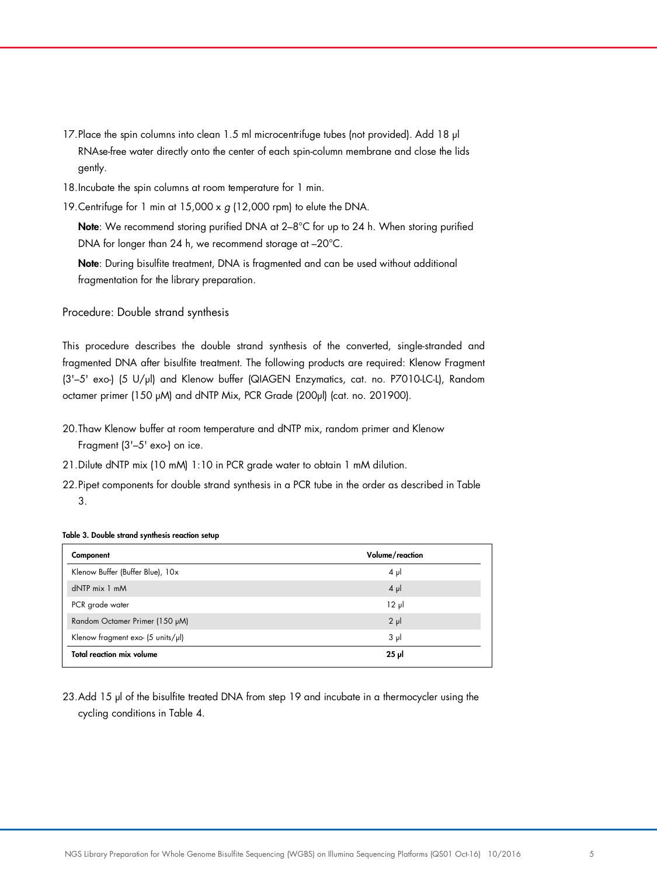- 17. Place the spin columns into clean 1.5 ml microcentrifuge tubes (not provided). Add 18 µl RNAse-free water directly onto the center of each spin-column membrane and close the lids gently.
- 18.Incubate the spin columns at room temperature for 1 min.
- 19.Centrifuge for 1 min at 15,000 x *g* (12,000 rpm) to elute the DNA.

Note: We recommend storing purified DNA at 2−8°C for up to 24 h. When storing purified DNA for longer than 24 h, we recommend storage at –20°C.

Note: During bisulfite treatment, DNA is fragmented and can be used without additional fragmentation for the library preparation.

Procedure: Double strand synthesis

This procedure describes the double strand synthesis of the converted, single-stranded and fragmented DNA after bisulfite treatment. The following products are required: Klenow Fragment (3'–5' exo-) (5 U/µl) and Klenow buffer (QIAGEN Enzymatics, cat. no. P7010-LC-L), Random octamer primer (150 µM) and dNTP Mix, PCR Grade (200µl) (cat. no. 201900).

- 20.Thaw Klenow buffer at room temperature and dNTP mix, random primer and Klenow Fragment (3'–5' exo-) on ice.
- 21.Dilute dNTP mix (10 mM) 1:10 in PCR grade water to obtain 1 mM dilution.
- 22.Pipet components for double strand synthesis in a PCR tube in the order as described in Table 3.

Table 3. Double strand synthesis reaction setup

| Component                                            | Volume/reaction |
|------------------------------------------------------|-----------------|
| Klenow Buffer (Buffer Blue), 10x                     | $4 \mu$         |
| $dNTP$ mix $1$ mM                                    | $4 \mu$         |
| PCR grade water                                      | $12 \mu$        |
| Random Octamer Primer (150 µM)                       | $2 \mu$         |
| Klenow fragment exo- $(5 \text{ units/}\mu\text{I})$ | $3 \mu$         |
| <b>Total reaction mix volume</b>                     | $25$ $\mu$      |

23.Add 15 µl of the bisulfite treated DNA from step 19 and incubate in a thermocycler using the cycling conditions in Table 4.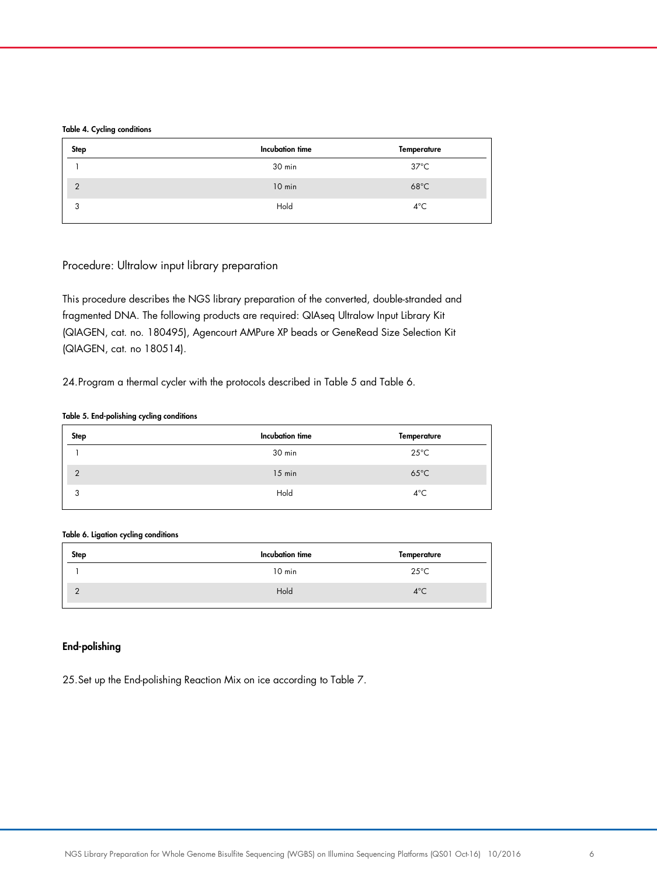#### Table 4. Cycling conditions

| <b>Step</b>   | Incubation time | Temperature    |
|---------------|-----------------|----------------|
|               | 30 min          | $37^{\circ}$ C |
| $\mathcal{P}$ | $10$ min        | $68^{\circ}$ C |
| 3             | Hold            | $4^{\circ}$ C  |

## Procedure: Ultralow input library preparation

This procedure describes the NGS library preparation of the converted, double-stranded and fragmented DNA. The following products are required: QIAseq Ultralow Input Library Kit (QIAGEN, cat. no. 180495), Agencourt AMPure XP beads or GeneRead Size Selection Kit (QIAGEN, cat. no 180514).

24.Program a thermal cycler with the protocols described in Table 5 and Table 6.

## Table 5. End-polishing cycling conditions

| Step          | Incubation time | Temperature    |
|---------------|-----------------|----------------|
|               | 30 min          | $25^{\circ}$ C |
| $\mathcal{D}$ | $15$ min        | $65^{\circ}$ C |
| 3             | Hold            | $4^{\circ}$ C  |

## Table 6. Ligation cycling conditions

| Step       | Incubation time | Temperature    |
|------------|-----------------|----------------|
|            | $10$ min        | $25^{\circ}$ C |
| $\sqrt{2}$ | Hold            | $4^{\circ}$ C  |

## End-polishing

25.Set up the End-polishing Reaction Mix on ice according to Table 7.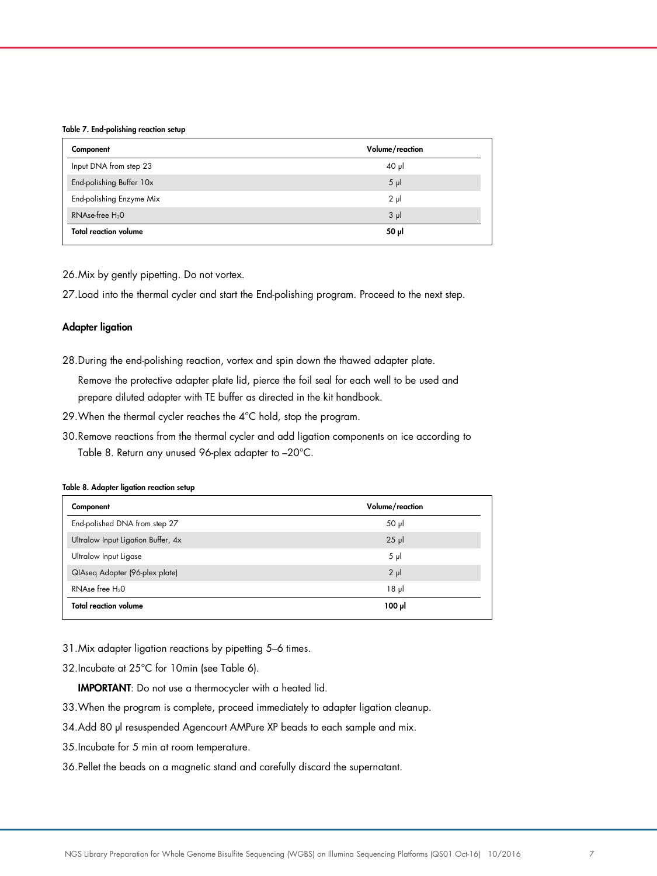#### Table 7. End-polishing reaction setup

| Component                    | Volume/reaction |
|------------------------------|-----------------|
| Input DNA from step 23       | $40 \mu$        |
| End-polishing Buffer 10x     | $5 \mu$         |
| End-polishing Enzyme Mix     | $2 \mu$         |
| RNAse-free H <sub>2</sub> O  | 3 <sub>µ</sub>  |
| <b>Total reaction volume</b> | 50 µl           |

26.Mix by gently pipetting. Do not vortex.

27.Load into the thermal cycler and start the End-polishing program. Proceed to the next step.

## Adapter ligation

- 28.During the end-polishing reaction, vortex and spin down the thawed adapter plate. Remove the protective adapter plate lid, pierce the foil seal for each well to be used and prepare diluted adapter with TE buffer as directed in the kit handbook.
- 29.When the thermal cycler reaches the 4°C hold, stop the program.
- 30.Remove reactions from the thermal cycler and add ligation components on ice according to Table 8. Return any unused 96-plex adapter to –20°C.

#### Table 8. Adapter ligation reaction setup

| Volume/reaction |
|-----------------|
| $50$ $\mu$      |
| $25$ $\mu$      |
| $5 \mu$         |
| $2 \mu$         |
| 18 <sub>µ</sub> |
| $100 \mu$       |
|                 |

- 31.Mix adapter ligation reactions by pipetting 5–6 times.
- 32.Incubate at 25°C for 10min (see Table 6).

IMPORTANT: Do not use a thermocycler with a heated lid.

- 33.When the program is complete, proceed immediately to adapter ligation cleanup.
- 34.Add 80 µl resuspended Agencourt AMPure XP beads to each sample and mix.
- 35.Incubate for 5 min at room temperature.
- 36.Pellet the beads on a magnetic stand and carefully discard the supernatant.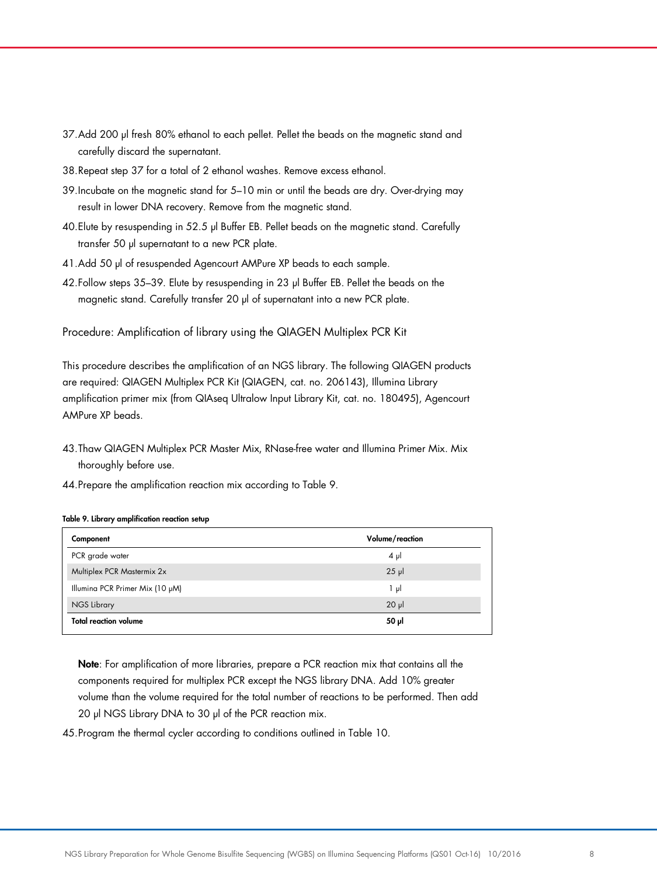- 37.Add 200 μl fresh 80% ethanol to each pellet. Pellet the beads on the magnetic stand and carefully discard the supernatant.
- 38.Repeat step 37 for a total of 2 ethanol washes. Remove excess ethanol.
- 39.Incubate on the magnetic stand for 5–10 min or until the beads are dry. Over-drying may result in lower DNA recovery. Remove from the magnetic stand.
- 40.Elute by resuspending in 52.5 µl Buffer EB. Pellet beads on the magnetic stand. Carefully transfer 50 µl supernatant to a new PCR plate.
- 41.Add 50 µl of resuspended Agencourt AMPure XP beads to each sample.
- 42.Follow steps 35–39. Elute by resuspending in 23 µl Buffer EB. Pellet the beads on the magnetic stand. Carefully transfer 20 µl of supernatant into a new PCR plate.

Procedure: Amplification of library using the QIAGEN Multiplex PCR Kit

This procedure describes the amplification of an NGS library. The following QIAGEN products are required: QIAGEN Multiplex PCR Kit (QIAGEN, cat. no. 206143), Illumina Library amplification primer mix (from QIAseq Ultralow Input Library Kit, cat. no. 180495), Agencourt AMPure XP beads.

- 43.Thaw QIAGEN Multiplex PCR Master Mix, RNase-free water and Illumina Primer Mix. Mix thoroughly before use.
- 44.Prepare the amplification reaction mix according to Table 9.

#### Table 9. Library amplification reaction setup

| Component                       | Volume/reaction |
|---------------------------------|-----------------|
| PCR grade water                 | $4 \mu$         |
| Multiplex PCR Mastermix 2x      | $25$ $\mu$      |
| Illumina PCR Primer Mix (10 µM) | 1 μΙ            |
| <b>NGS Library</b>              | $20 \mu$        |
| <b>Total reaction volume</b>    | 50 µl           |

Note: For amplification of more libraries, prepare a PCR reaction mix that contains all the components required for multiplex PCR except the NGS library DNA. Add 10% greater volume than the volume required for the total number of reactions to be performed. Then add 20 µl NGS Library DNA to 30 µl of the PCR reaction mix.

45.Program the thermal cycler according to conditions outlined in Table 10.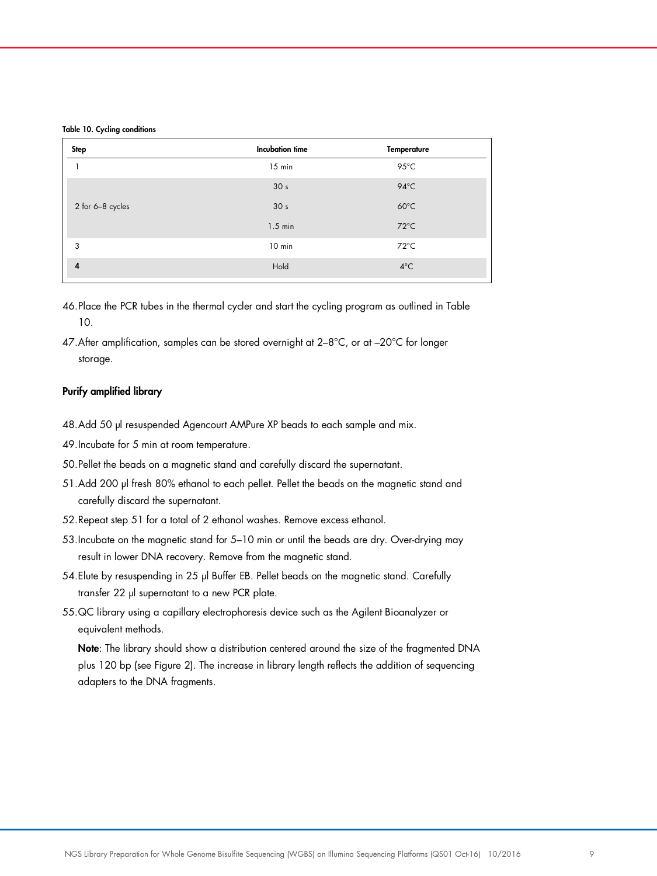#### Table 10. Cycling conditions

| <b>Step</b>      | <b>Incubation time</b> | <b>Temperature</b> |  |
|------------------|------------------------|--------------------|--|
|                  | $15$ min               | $95^{\circ}$ C     |  |
|                  | 30 <sub>s</sub>        | $94^{\circ}$ C     |  |
| 2 for 6-8 cycles | 30 <sub>s</sub>        | $60^{\circ}$ C     |  |
|                  | $1.5$ min              | $72^{\circ}$ C     |  |
| 3                | 10 min                 | $72^{\circ}$ C     |  |
| 4                | Hold                   | $4^{\circ}$ C      |  |
|                  |                        |                    |  |

- 46.Place the PCR tubes in the thermal cycler and start the cycling program as outlined in Table 10.
- 47. After amplification, samples can be stored overnight at 2-8°C, or at -20°C for longer storage.

## Purify amplified library

- 48.Add 50 µl resuspended Agencourt AMPure XP beads to each sample and mix.
- 49.Incubate for 5 min at room temperature.
- 50.Pellet the beads on a magnetic stand and carefully discard the supernatant.
- 51.Add 200 µl fresh 80% ethanol to each pellet. Pellet the beads on the magnetic stand and carefully discard the supernatant.
- 52.Repeat step 51 for a total of 2 ethanol washes. Remove excess ethanol.
- 53.Incubate on the magnetic stand for 5–10 min or until the beads are dry. Over-drying may result in lower DNA recovery. Remove from the magnetic stand.
- 54. Elute by resuspending in 25 µl Buffer EB. Pellet beads on the magnetic stand. Carefully transfer 22 µl supernatant to a new PCR plate.
- 55.QC library using a capillary electrophoresis device such as the Agilent Bioanalyzer or equivalent methods.

Note: The library should show a distribution centered around the size of the fragmented DNA plus 120 bp (see Figure 2). The increase in library length reflects the addition of sequencing adapters to the DNA fragments.